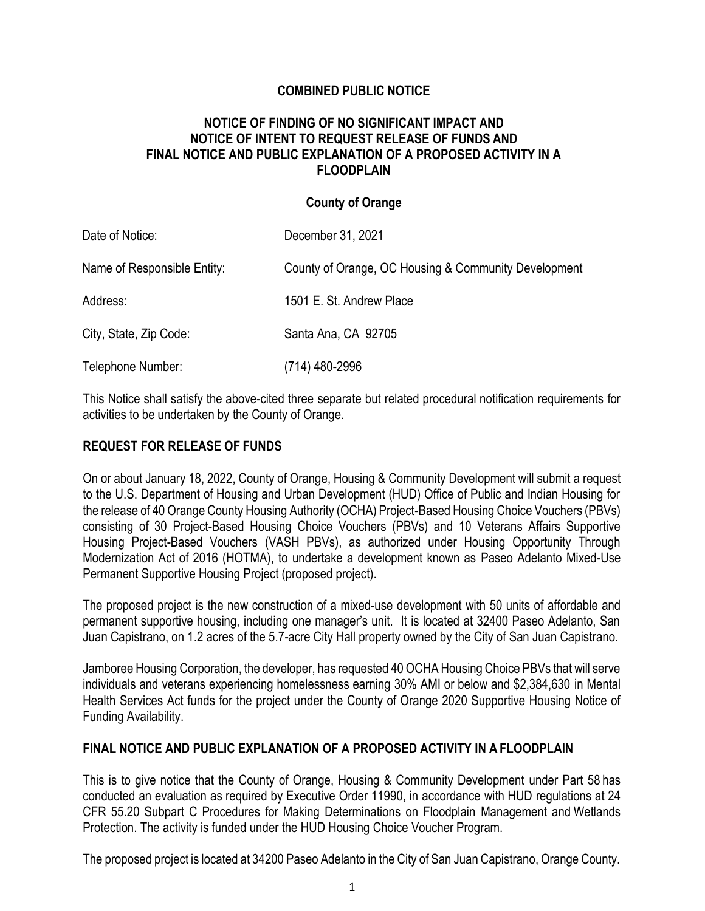## **COMBINED PUBLIC NOTICE**

### **NOTICE OF FINDING OF NO SIGNIFICANT IMPACT AND NOTICE OF INTENT TO REQUEST RELEASE OF FUNDS AND FINAL NOTICE AND PUBLIC EXPLANATION OF A PROPOSED ACTIVITY IN A FLOODPLAIN**

#### **County of Orange**

| Date of Notice:             | December 31, 2021                                    |
|-----------------------------|------------------------------------------------------|
| Name of Responsible Entity: | County of Orange, OC Housing & Community Development |
| Address:                    | 1501 E. St. Andrew Place                             |
| City, State, Zip Code:      | Santa Ana, CA 92705                                  |
| Telephone Number:           | (714) 480-2996                                       |

This Notice shall satisfy the above-cited three separate but related procedural notification requirements for activities to be undertaken by the County of Orange.

#### **REQUEST FOR RELEASE OF FUNDS**

On or about January 18, 2022, County of Orange, Housing & Community Development will submit a request to the U.S. Department of Housing and Urban Development (HUD) Office of Public and Indian Housing for the release of 40 Orange County Housing Authority (OCHA) Project-Based Housing Choice Vouchers (PBVs) consisting of 30 Project-Based Housing Choice Vouchers (PBVs) and 10 Veterans Affairs Supportive Housing Project-Based Vouchers (VASH PBVs), as authorized under Housing Opportunity Through Modernization Act of 2016 (HOTMA), to undertake a development known as Paseo Adelanto Mixed-Use Permanent Supportive Housing Project (proposed project).

The proposed project is the new construction of a mixed-use development with 50 units of affordable and permanent supportive housing, including one manager's unit. It is located at 32400 Paseo Adelanto, San Juan Capistrano, on 1.2 acres of the 5.7-acre City Hall property owned by the City of San Juan Capistrano.

Jamboree Housing Corporation, the developer, has requested 40 OCHA Housing Choice PBVs that will serve individuals and veterans experiencing homelessness earning 30% AMI or below and \$2,384,630 in Mental Health Services Act funds for the project under the County of Orange 2020 Supportive Housing Notice of Funding Availability.

## **FINAL NOTICE AND PUBLIC EXPLANATION OF A PROPOSED ACTIVITY IN A FLOODPLAIN**

This is to give notice that the County of Orange, Housing & Community Development under Part 58 has conducted an evaluation as required by Executive Order 11990, in accordance with HUD regulations at 24 CFR 55.20 Subpart C Procedures for Making Determinations on Floodplain Management and Wetlands Protection. The activity is funded under the HUD Housing Choice Voucher Program.

The proposed project is located at 34200 Paseo Adelanto in the City of San Juan Capistrano, Orange County.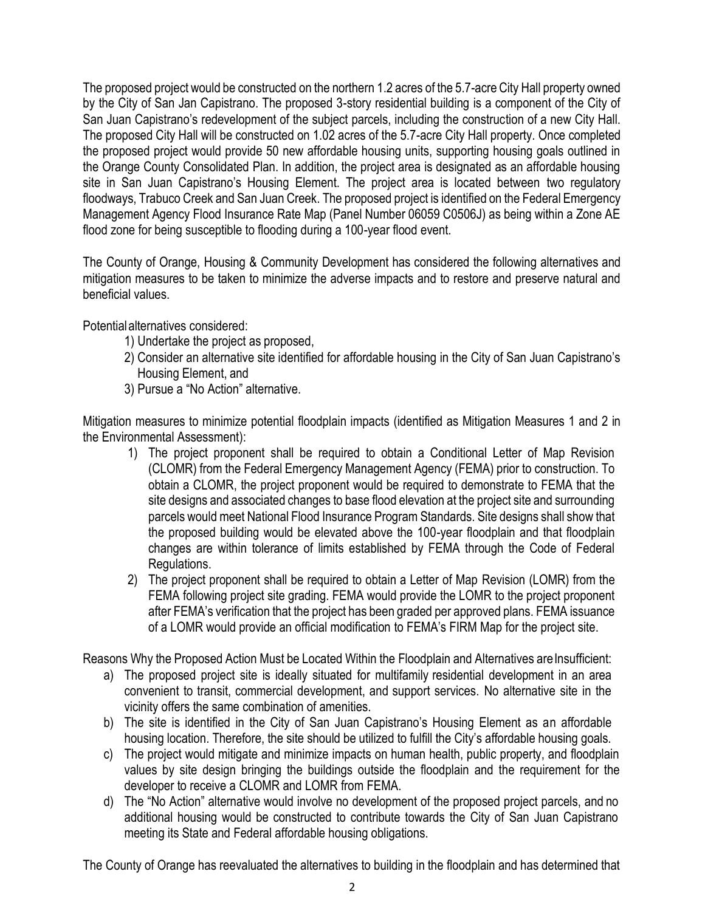The proposed project would be constructed on the northern 1.2 acres of the 5.7-acre City Hall property owned by the City of San Jan Capistrano. The proposed 3-story residential building is a component of the City of San Juan Capistrano's redevelopment of the subject parcels, including the construction of a new City Hall. The proposed City Hall will be constructed on 1.02 acres of the 5.7-acre City Hall property. Once completed the proposed project would provide 50 new affordable housing units, supporting housing goals outlined in the Orange County Consolidated Plan. In addition, the project area is designated as an affordable housing site in San Juan Capistrano's Housing Element. The project area is located between two regulatory floodways, Trabuco Creek and San Juan Creek. The proposed project is identified on the Federal Emergency Management Agency Flood Insurance Rate Map (Panel Number 06059 C0506J) as being within a Zone AE flood zone for being susceptible to flooding during a 100-year flood event.

The County of Orange, Housing & Community Development has considered the following alternatives and mitigation measures to be taken to minimize the adverse impacts and to restore and preserve natural and beneficial values.

Potentialalternatives considered:

- 1) Undertake the project as proposed,
- 2) Consider an alternative site identified for affordable housing in the City of San Juan Capistrano's Housing Element, and
- 3) Pursue a "No Action" alternative.

Mitigation measures to minimize potential floodplain impacts (identified as Mitigation Measures 1 and 2 in the Environmental Assessment):

- 1) The project proponent shall be required to obtain a Conditional Letter of Map Revision (CLOMR) from the Federal Emergency Management Agency (FEMA) prior to construction. To obtain a CLOMR, the project proponent would be required to demonstrate to FEMA that the site designs and associated changes to base flood elevation at the project site and surrounding parcels would meet National Flood Insurance Program Standards. Site designs shall show that the proposed building would be elevated above the 100-year floodplain and that floodplain changes are within tolerance of limits established by FEMA through the Code of Federal Regulations.
- 2) The project proponent shall be required to obtain a Letter of Map Revision (LOMR) from the FEMA following project site grading. FEMA would provide the LOMR to the project proponent after FEMA's verification that the project has been graded per approved plans. FEMA issuance of a LOMR would provide an official modification to FEMA's FIRM Map for the project site.

Reasons Why the Proposed Action Must be Located Within the Floodplain and Alternatives are Insufficient:

- a) The proposed project site is ideally situated for multifamily residential development in an area convenient to transit, commercial development, and support services. No alternative site in the vicinity offers the same combination of amenities.
- b) The site is identified in the City of San Juan Capistrano's Housing Element as an affordable housing location. Therefore, the site should be utilized to fulfill the City's affordable housing goals.
- c) The project would mitigate and minimize impacts on human health, public property, and floodplain values by site design bringing the buildings outside the floodplain and the requirement for the developer to receive a CLOMR and LOMR from FEMA.
- d) The "No Action" alternative would involve no development of the proposed project parcels, and no additional housing would be constructed to contribute towards the City of San Juan Capistrano meeting its State and Federal affordable housing obligations.

The County of Orange has reevaluated the alternatives to building in the floodplain and has determined that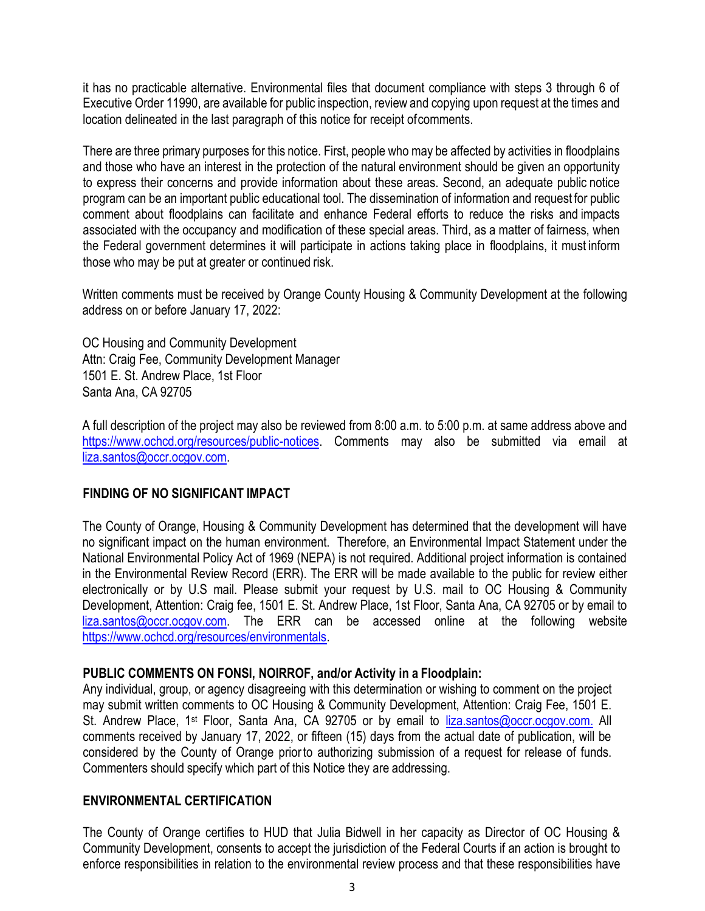it has no practicable alternative. Environmental files that document compliance with steps 3 through 6 of Executive Order 11990, are available for public inspection, review and copying upon request at the times and location delineated in the last paragraph of this notice for receipt ofcomments.

There are three primary purposes for this notice. First, people who may be affected by activities in floodplains and those who have an interest in the protection of the natural environment should be given an opportunity to express their concerns and provide information about these areas. Second, an adequate public notice program can be an important public educational tool. The dissemination of information and request for public comment about floodplains can facilitate and enhance Federal efforts to reduce the risks and impacts associated with the occupancy and modification of these special areas. Third, as a matter of fairness, when the Federal government determines it will participate in actions taking place in floodplains, it must inform those who may be put at greater or continued risk.

Written comments must be received by Orange County Housing & Community Development at the following address on or before January 17, 2022:

OC Housing and Community Development Attn: Craig Fee, Community Development Manager 1501 E. St. Andrew Place, 1st Floor Santa Ana, CA 92705

A full description of the project may also be reviewed from 8:00 a.m. to 5:00 p.m. at same address above and [https://www.ochcd.org/resources/public-notices.](https://www.ochcd.org/resources/public-notices) Comments may also be submitted via email at [liza.santos@occr.ocgov.com.](mailto:liza.santos@occr.ocgov.com)

## **FINDING OF NO SIGNIFICANT IMPACT**

The County of Orange, Housing & Community Development has determined that the development will have no significant impact on the human environment. Therefore, an Environmental Impact Statement under the National Environmental Policy Act of 1969 (NEPA) is not required. Additional project information is contained in the Environmental Review Record (ERR). The ERR will be made available to the public for review either electronically or by U.S mail. Please submit your request by U.S. mail to OC Housing & Community Development, Attention: Craig fee, 1501 E. St. Andrew Place, 1st Floor, Santa Ana, CA 92705 or by email to [liza.santos@occr.ocgov.com.](mailto:liza.santos@occr.ocgov.com) The ERR can be accessed online at the following website [https://www.ochcd.org/resources/environmentals.](https://www.ochcd.org/resources/environmentals)

#### **PUBLIC COMMENTS ON FONSI, NOIRROF, and/or Activity in a Floodplain:**

Any individual, group, or agency disagreeing with this determination or wishing to comment on the project may submit written comments to OC Housing & Community Development, Attention: Craig Fee, 1501 E. St. Andrew Place, 1<sup>st</sup> Floor, Santa Ana, CA 92705 or by email to *[liza.santos@occr.ocgov.com.](mailto:liza.santos@occr.ocgov.com)* All comments received by January 17, 2022, or fifteen (15) days from the actual date of publication, will be considered by the County of Orange priorto authorizing submission of a request for release of funds. Commenters should specify which part of this Notice they are addressing.

#### **ENVIRONMENTAL CERTIFICATION**

The County of Orange certifies to HUD that Julia Bidwell in her capacity as Director of OC Housing & Community Development, consents to accept the jurisdiction of the Federal Courts if an action is brought to enforce responsibilities in relation to the environmental review process and that these responsibilities have